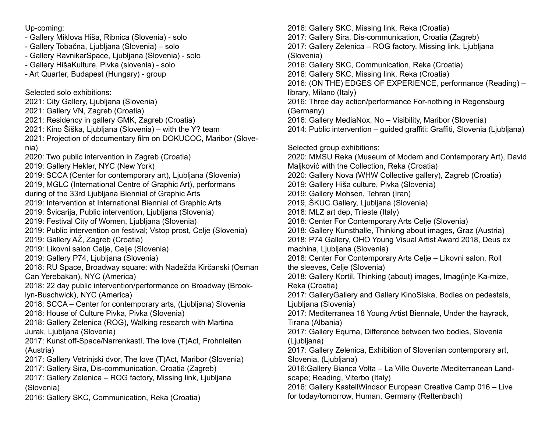Up-coming:

- Gallery Miklova Hiša, Ribnica (Slovenia) solo
- Gallery Tobačna, Ljubljana (Slovenia) solo
- Gallery RavnikarSpace, Ljubljana (Slovenia) solo
- Gallery HišaKulture, Pivka (slovenia) solo
- Art Quarter, Budapest (Hungary) group

Selected solo exhibitions:

- 2021: City Gallery, Ljubljana (Slovenia)
- 2021: Gallery VN, Zagreb (Croatia)
- 2021: Residency in gallery GMK, Zagreb (Croatia)
- 2021: Kino Šiška, Ljubljana (Slovenia) with the Y? team
- 2021: Projection of documentary film on DOKUCOC, Maribor (Slovenia)
- 2020: Two public intervention in Zagreb (Croatia)
- 2019: Gallery Hekler, NYC (New York)
- 2019: SCCA (Center for contemporary art), Ljubljana (Slovenia)
- 2019, MGLC (International Centre of Graphic Art), performans
- during of the 33rd Ljubljana Biennial of Graphic Arts
- 2019: Intervention at International Biennial of Graphic Arts
- 2019: Švicarija, Public intervention, Ljubljana (Slovenia)
- 2019: Festival City of Women, Ljubljana (Slovenia)
- 2019: Public intervention on festival; Vstop prost, Celje (Slovenia)
- 2019: Gallery AŽ, Zagreb (Croatia)
- 2019: Likovni salon Celje, Celje (Slovenia)
- 2019: Gallery P74, Ljubljana (Slovenia)
- 2018: RU Space, Broadway square: with Nadežda Kirčanski (Osman Can Yerebakan), NYC (America)
- 2018: 22 day public intervention/performance on Broadway (Brooklyn-Buschwick), NYC (America)
- 2018: SCCA Center for contemporary arts, (Ljubljana) Slovenia 2018: House of Culture Pivka, Pivka (Slovenia)
- 2018: Gallery Zelenica (ROG), Walking research with Martina Jurak, Ljubljana (Slovenia)
- 2017: Kunst off-Space/Narrenkastl, The love (T)Act, Frohnleiten (Austria)
- 2017: Gallery Vetrinjski dvor, The love (T)Act, Maribor (Slovenia)
- 2017: Gallery Sira, Dis-communication, Croatia (Zagreb)
- 2017: Gallery Zelenica ROG factory, Missing link, Ljubljana (Slovenia)
- 2016: Gallery SKC, Communication, Reka (Croatia)

2016: Gallery SKC, Missing link, Reka (Croatia) 2017: Gallery Sira, Dis-communication, Croatia (Zagreb) 2017: Gallery Zelenica – ROG factory, Missing link, Ljubljana (Slovenia) 2016: Gallery SKC, Communication, Reka (Croatia) 2016: Gallery SKC, Missing link, Reka (Croatia) 2016: (ON THE) EDGES OF EXPERIENCE, performance (Reading) – library, Milano (Italy) 2016: Three day action/performance For-nothing in Regensburg (Germany) 2016: Gallery MediaNox, No – Visibility, Maribor (Slovenia) 2014: Public intervention – guided graffiti: Graffiti, Slovenia (Ljubljana) Selected group exhibitions: 2020: MMSU Reka (Museum of Modern and Contemporary Art), David Maljković with the Collection, Reka (Croatia) 2020: Gallery Nova (WHW Collective gallery), Zagreb (Croatia) 2019: Gallery Hiša culture, Pivka (Slovenia) 2019: Gallery Mohsen, Tehran (Iran) 2019, ŠKUC Gallery, Ljubljana (Slovenia) 2018: MLZ art dep, Trieste (Italy) 2018: Center For Contemporary Arts Celje (Slovenia) 2018: Gallery Kunsthalle, Thinking about images, Graz (Austria) 2018: P74 Gallery, OHO Young Visual Artist Award 2018, Deus ex machina, Ljubljana (Slovenia) 2018: Center For Contemporary Arts Celje – Likovni salon, Roll the sleeves, Celje (Slovenia) 2018: Gallery Kortil, Thinking (about) images, Imag(in)e Ka-mize, Reka (Croatia) 2017: GalleryGallery and Gallery KinoSiska, Bodies on pedestals, Ljubljana (Slovenia) 2017: Mediterranea 18 Young Artist Biennale, Under the hayrack, Tirana (Albania) 2017: Gallery Equrna, Difference between two bodies, Slovenia (Ljubljana) 2017: Gallery Zelenica, Exhibition of Slovenian contemporary art, Slovenia, (Ljubljana) 2016:Gallery Bianca Volta – La Ville Ouverte /Mediterranean Landscape; Reading, Viterbo (Italy) 2016: Gallery KastellWindsor European Creative Camp 016 – Live for today/tomorrow, Human, Germany (Rettenbach)